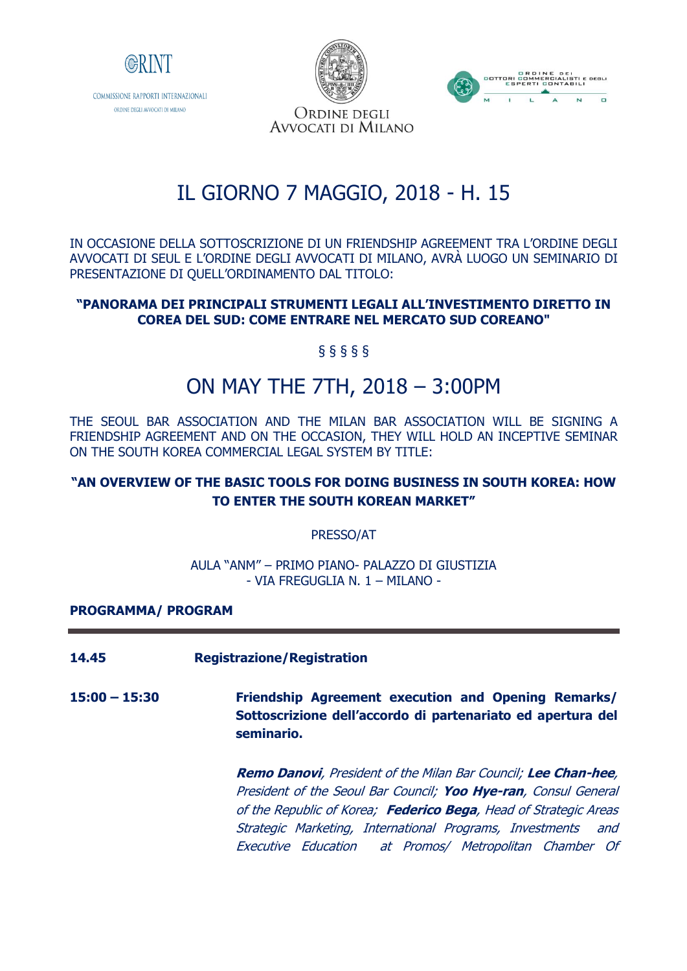

ORDINE DEGLI AVVOCATI DI MILANO



ORDINE DEGLI AVVOCATI DI MILANO

# IL GIORNO 7 MAGGIO, 2018 - H. 15

IN OCCASIONE DELLA SOTTOSCRIZIONE DI UN FRIENDSHIP AGREEMENT TRA L'ORDINE DEGLI AVVOCATI DI SEUL E L'ORDINE DEGLI AVVOCATI DI MILANO, AVRÀ LUOGO UN SEMINARIO DI PRESENTAZIONE DI QUELL'ORDINAMENTO DAL TITOLO:

#### **"PANORAMA DEI PRINCIPALI STRUMENTI LEGALI ALL'INVESTIMENTO DIRETTO IN COREA DEL SUD: COME ENTRARE NEL MERCATO SUD COREANO"**

§ § § § §

# ON MAY THE 7TH, 2018 – 3:00PM

THE SEOUL BAR ASSOCIATION AND THE MILAN BAR ASSOCIATION WILL BE SIGNING A FRIENDSHIP AGREEMENT AND ON THE OCCASION, THEY WILL HOLD AN INCEPTIVE SEMINAR ON THE SOUTH KOREA COMMERCIAL LEGAL SYSTEM BY TITLE:

# **"AN OVERVIEW OF THE BASIC TOOLS FOR DOING BUSINESS IN SOUTH KOREA: HOW TO ENTER THE SOUTH KOREAN MARKET"**

PRESSO/AT

AULA "ANM" – PRIMO PIANO- PALAZZO DI GIUSTIZIA - VIA FREGUGLIA N. 1 – MILANO -

### **PROGRAMMA/ PROGRAM**

- **14.45 Registrazione/Registration**
- **15:00 – 15:30 Friendship Agreement execution and Opening Remarks/ Sottoscrizione dell'accordo di partenariato ed apertura del seminario.**

**Remo Danovi**, President of the Milan Bar Council; **Lee Chan-hee**, President of the Seoul Bar Council; **Yoo Hye-ran**, Consul General of the Republic of Korea; **Federico Bega**, Head of Strategic Areas Strategic Marketing, International Programs, Investments and Executive Education at Promos/ Metropolitan Chamber Of